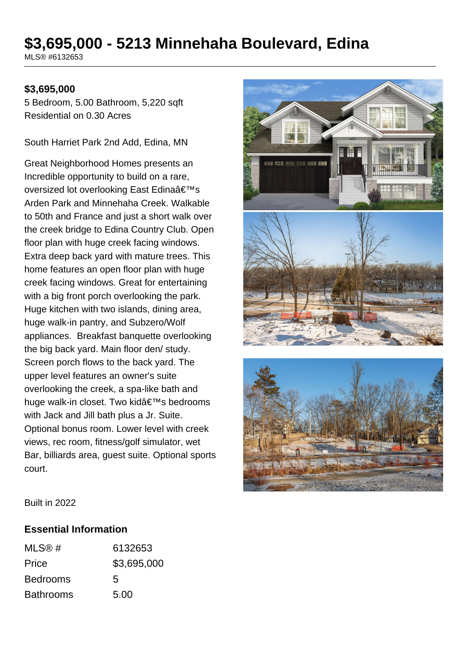# **\$3,695,000 - 5213 Minnehaha Boulevard, Edina**

MLS® #6132653

#### **\$3,695,000**

5 Bedroom, 5.00 Bathroom, 5,220 sqft Residential on 0.30 Acres

South Harriet Park 2nd Add, Edina, MN

Great Neighborhood Homes presents an Incredible opportunity to build on a rare, oversized lot overlooking East Edina's Arden Park and Minnehaha Creek. Walkable to 50th and France and just a short walk over the creek bridge to Edina Country Club. Open floor plan with huge creek facing windows. Extra deep back yard with mature trees. This home features an open floor plan with huge creek facing windows. Great for entertaining with a big front porch overlooking the park. Huge kitchen with two islands, dining area, huge walk-in pantry, and Subzero/Wolf appliances. Breakfast banquette overlooking the big back yard. Main floor den/ study. Screen porch flows to the back yard. The upper level features an owner's suite overlooking the creek, a spa-like bath and huge walk-in closet. Two kid's bedrooms with Jack and Jill bath plus a Jr. Suite. Optional bonus room. Lower level with creek views, rec room, fitness/golf simulator, wet Bar, billiards area, guest suite. Optional sports court.



Built in 2022

#### **Essential Information**

| MLS@#            | 6132653     |
|------------------|-------------|
| Price            | \$3,695,000 |
| <b>Bedrooms</b>  | 5           |
| <b>Bathrooms</b> | 5.00        |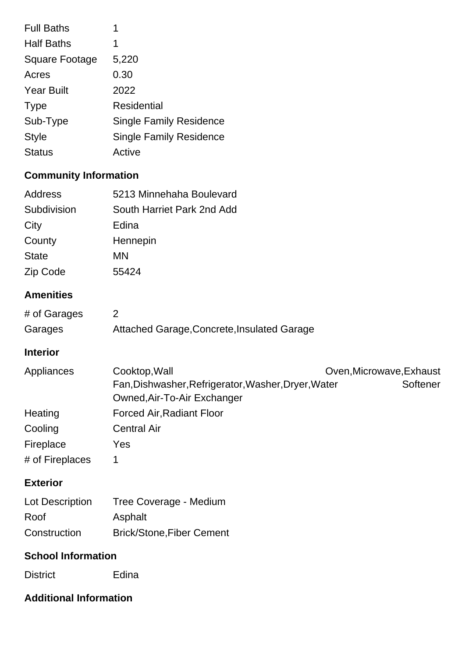| <b>Full Baths</b>     | 1                              |
|-----------------------|--------------------------------|
| <b>Half Baths</b>     | 1                              |
| <b>Square Footage</b> | 5,220                          |
| Acres                 | 0.30                           |
| <b>Year Built</b>     | 2022                           |
| <b>Type</b>           | Residential                    |
| Sub-Type              | <b>Single Family Residence</b> |
| <b>Style</b>          | <b>Single Family Residence</b> |
| <b>Status</b>         | Active                         |
|                       |                                |

# **Community Information**

| Address          | 5213 Minnehaha Boulevard                                                                                                                    |
|------------------|---------------------------------------------------------------------------------------------------------------------------------------------|
| Subdivision      | South Harriet Park 2nd Add                                                                                                                  |
| City             | Edina                                                                                                                                       |
| County           | Hennepin                                                                                                                                    |
| <b>State</b>     | <b>MN</b>                                                                                                                                   |
| Zip Code         | 55424                                                                                                                                       |
| <b>Amenities</b> |                                                                                                                                             |
| # of Garages     | 2                                                                                                                                           |
| Garages          | Attached Garage, Concrete, Insulated Garage                                                                                                 |
| <b>Interior</b>  |                                                                                                                                             |
| Appliances       | Cooktop, Wall<br>Oven, Microwave, Exhaust<br>Fan, Dishwasher, Refrigerator, Washer, Dryer, Water<br>Softener<br>Owned, Air-To-Air Exchanger |
| Heating          | <b>Forced Air, Radiant Floor</b>                                                                                                            |
| Cooling          | <b>Central Air</b>                                                                                                                          |
| Fireplace        | Yes                                                                                                                                         |
| # of Fireplaces  | 1                                                                                                                                           |
| <b>Exterior</b>  |                                                                                                                                             |
| Lot Description  | Tree Coverage - Medium                                                                                                                      |
| Roof             | Asphalt                                                                                                                                     |
| Construction     | <b>Brick/Stone, Fiber Cement</b>                                                                                                            |
|                  |                                                                                                                                             |

## **School Information**

District Edina

# **Additional Information**